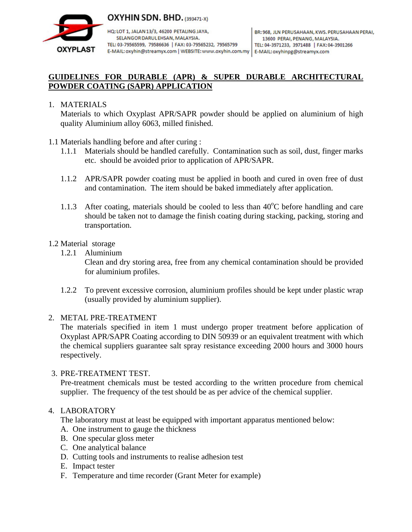

HQ: LOT 1, JALAN 13/3, 46200 PETALING JAYA, SELANGOR DARUL EHSAN, MALAYSIA. TEL: 03-79565599, 79586636 | FAX: 03-79565232, 79565799

# **GUIDELINES FOR DURABLE (APR) & SUPER DURABLE ARCHITECTURAL POWDER COATING (SAPR) APPLICATION**

## 1. MATERIALS

**OXYPLAST** 

 Materials to which Oxyplast APR/SAPR powder should be applied on aluminium of high quality Aluminium alloy 6063, milled finished.

- 1.1 Materials handling before and after curing :
	- 1.1.1 Materials should be handled carefully. Contamination such as soil, dust, finger marks etc. should be avoided prior to application of APR/SAPR.
	- 1.1.2 APR/SAPR powder coating must be applied in booth and cured in oven free of dust and contamination. The item should be baked immediately after application.
	- 1.1.3 After coating, materials should be cooled to less than  $40^{\circ}$ C before handling and care should be taken not to damage the finish coating during stacking, packing, storing and transportation.

### 1.2 Material storage

1.2.1 Aluminium

 Clean and dry storing area, free from any chemical contamination should be provided for aluminium profiles.

1.2.2 To prevent excessive corrosion, aluminium profiles should be kept under plastic wrap (usually provided by aluminium supplier).

#### 2. METAL PRE-TREATMENT

 The materials specified in item 1 must undergo proper treatment before application of Oxyplast APR/SAPR Coating according to DIN 50939 or an equivalent treatment with which the chemical suppliers guarantee salt spray resistance exceeding 2000 hours and 3000 hours respectively.

#### 3. PRE-TREATMENT TEST.

 Pre-treatment chemicals must be tested according to the written procedure from chemical supplier. The frequency of the test should be as per advice of the chemical supplier.

## 4. LABORATORY

The laboratory must at least be equipped with important apparatus mentioned below:

- A. One instrument to gauge the thickness
- B. One specular gloss meter
- C. One analytical balance
- D. Cutting tools and instruments to realise adhesion test
- E. Impact tester
- F. Temperature and time recorder (Grant Meter for example)